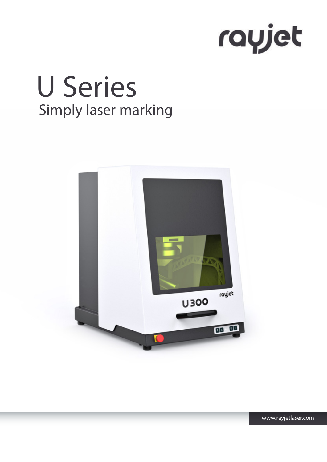

# Simply laser marking U Series



www.rayjetlaser.com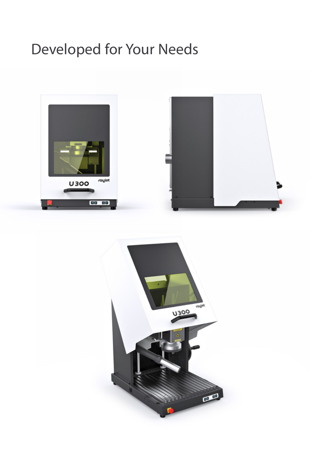### Developed for Your Needs



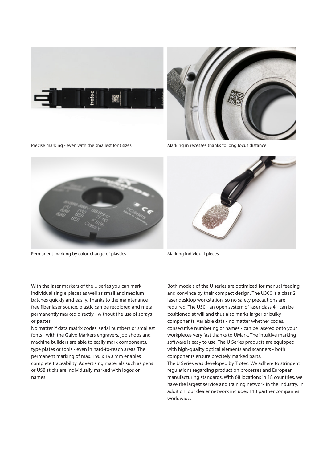





Marking in recesses thanks to long focus distance



Permanent marking by color-change of plastics



Marking individual pieces

With the laser markers of the U series you can mark individual single pieces as well as small and medium batches quickly and easily. Thanks to the maintenancefree fiber laser source, plastic can be recolored and metal permanently marked directly - without the use of sprays or pastes.

No matter if data matrix codes, serial numbers or smallest fonts - with the Galvo Markers engravers, job shops and machine builders are able to easily mark components, type plates or tools - even in hard-to-reach areas. The permanent marking of max. 190 x 190 mm enables complete traceability. Advertising materials such as pens or USB sticks are individually marked with logos or names.

Both models of the U series are optimized for manual feeding and convince by their compact design. The U300 is a class 2 laser desktop workstation, so no safety precautions are required. The U50 - an open system of laser class 4 - can be positioned at will and thus also marks larger or bulky components. Variable data - no matter whether codes, consecutive numbering or names - can be lasered onto your workpieces very fast thanks to UMark. The intuitive marking software is easy to use. The U Series products are equipped with high-quality optical elements and scanners - both components ensure precisely marked parts. The U Series was developed by Trotec. We adhere to stringent regulations regarding production processes and European manufacturing standards. With 68 locations in 18 countries, we have the largest service and training network in the industry. In addition, our dealer network includes 113 partner companies worldwide.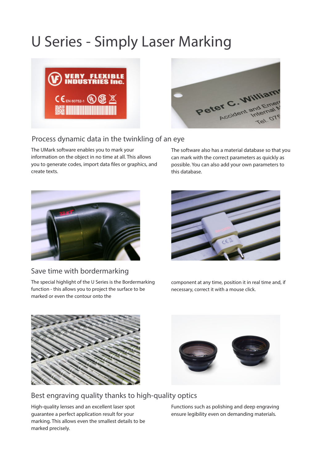### U Series - Simply Laser Marking





#### Process dynamic data in the twinkling of an eye

The UMark software enables you to mark your information on the object in no time at all. This allows you to generate codes, import data files or graphics, and create texts.

The software also has a material database so that you can mark with the correct parameters as quickly as possible. You can also add your own parameters to this database.



#### Save time with bordermarking

The special highlight of the U Series is the Bordermarking function - this allows you to project the surface to be marked or even the contour onto the



component at any time, position it in real time and, if necessary, correct it with a mouse click.





#### Best engraving quality thanks to high-quality optics

High-quality lenses and an excellent laser spot guarantee a perfect application result for your marking. This allows even the smallest details to be marked precisely.

Functions such as polishing and deep engraving ensure legibility even on demanding materials.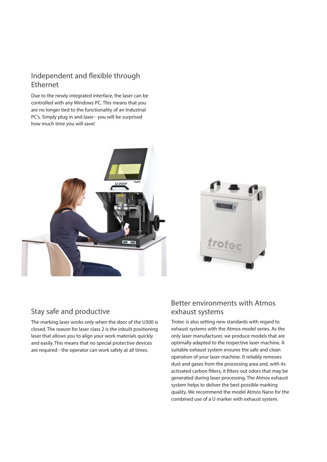#### Independent and flexible through Ethernet

Due to the newly integrated interface, the laser can be controlled with any Windows PC. This means that you are no longer tied to the functionality of an Industrial PC's. Simply plug in and laser - you will be surprised how much time you will save!





#### Stay safe and productive

The marking laser works only when the door of the U300 is closed. The reason for laser class 2 is the inbuilt positioning laser that allows you to align your work materials quickly and easily. This means that no special protective devices are required - the operator can work safely at all times.

#### Better environments with Atmos exhaust systems

Trotec is also setting new standards with regard to exhaust systems with the Atmos model series. As the only laser manufacturer, we produce models that are optimally adapted to the respective laser machine. A suitable exhaust system ensures the safe and clean operation of your laser machine. It reliably removes dust and gases from the processing area and, with its activated carbon filters, it filters out odors that may be generated during laser processing. The Atmos exhaust system helps to deliver the best possible marking quality. We recommend the model Atmos Nano for the combined use of a U marker with exhaust system.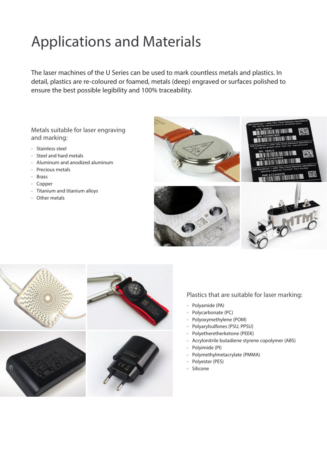## Applications and Materials

The laser machines of the U Series can be used to mark countless metals and plastics. In detail, plastics are re-coloured or foamed, metals (deep) engraved or surfaces polished to ensure the best possible legibility and 100% traceability.

Metals suitable for laser engraving and marking:

- Stainless steel
- Steel and hard metals
- Aluminum and anodized aluminum
- Precious metals
- Brass
- Copper
- Titanium and titanium alloys
- Other metals





#### Plastics that are suitable for laser marking:

- Polyamide (PA)
- Polycarbonate (PC)
- Polyoxymethylene (POM)
- Polyarylsulfones (PSU, PPSU)
- Polyetheretherketone (PEEK)
- Acrylonitrile butadiene styrene copolymer (ABS)
- Polyimide (PI)
- Polymethylmetacrylate (PMMA)
- Polyester (PES)
- Silicone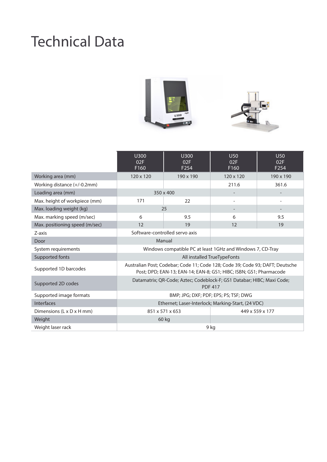### Technical Data





|                                | U300<br>02F<br>F160                                                                                                                                 | U300<br>02F<br>F254 | U50<br>02F<br>F160 | U50<br>02F<br>F <sub>254</sub> |
|--------------------------------|-----------------------------------------------------------------------------------------------------------------------------------------------------|---------------------|--------------------|--------------------------------|
| Working area (mm)              | 120 x 120                                                                                                                                           | 190 x 190           | 120 x 120          | 190 x 190                      |
| Working distance (+/-0.2mm)    |                                                                                                                                                     |                     | 211.6              | 361.6                          |
| Loading area (mm)              | 350 x 400                                                                                                                                           |                     |                    |                                |
| Max. height of workpiece (mm)  | 171                                                                                                                                                 | 22                  |                    | ٠                              |
| Max. loading weight (kg)       | 25                                                                                                                                                  |                     |                    |                                |
| Max. marking speed (m/sec)     | 6                                                                                                                                                   | 9.5                 | 6                  | 9.5                            |
| Max. positioning speed (m/sec) | 12                                                                                                                                                  | 19                  | 12                 | 19                             |
| Z-axis                         | Software-controlled servo axis                                                                                                                      |                     |                    |                                |
| Door                           | Manual                                                                                                                                              |                     |                    |                                |
| System requirements            | Windows compatible PC at least 1GHz and Windows 7, CD-Tray                                                                                          |                     |                    |                                |
| Supported fonts                | All installed TrueTypeFonts                                                                                                                         |                     |                    |                                |
| Supported 1D barcodes          | Australian Post; Codebar; Code 11; Code 128; Code 39; Code 93; DAFT; Deutsche<br>Post; DPD; EAN-13; EAN-14; EAN-8; GS1; HIBC; ISBN; GS1; Pharmacode |                     |                    |                                |
| Supported 2D codes             | Datamatrix; QR-Code; Aztec; Codeblock-F; GS1 Databar; HIBC; Maxi Code;<br><b>PDF 417</b>                                                            |                     |                    |                                |
| Supported image formats        | BMP; JPG; DXF; PDF; EPS; PS; TSF; DWG                                                                                                               |                     |                    |                                |
| <b>Interfaces</b>              | Ethernet; Laser-Interlock; Marking-Start, (24 VDC)                                                                                                  |                     |                    |                                |
| Dimensions (L x D x H mm)      | 851 x 571 x 653<br>449 x 559 x 177                                                                                                                  |                     |                    |                                |
| Weight                         |                                                                                                                                                     | 60 kg               |                    |                                |
| Weight laser rack              | 9 kg                                                                                                                                                |                     |                    |                                |